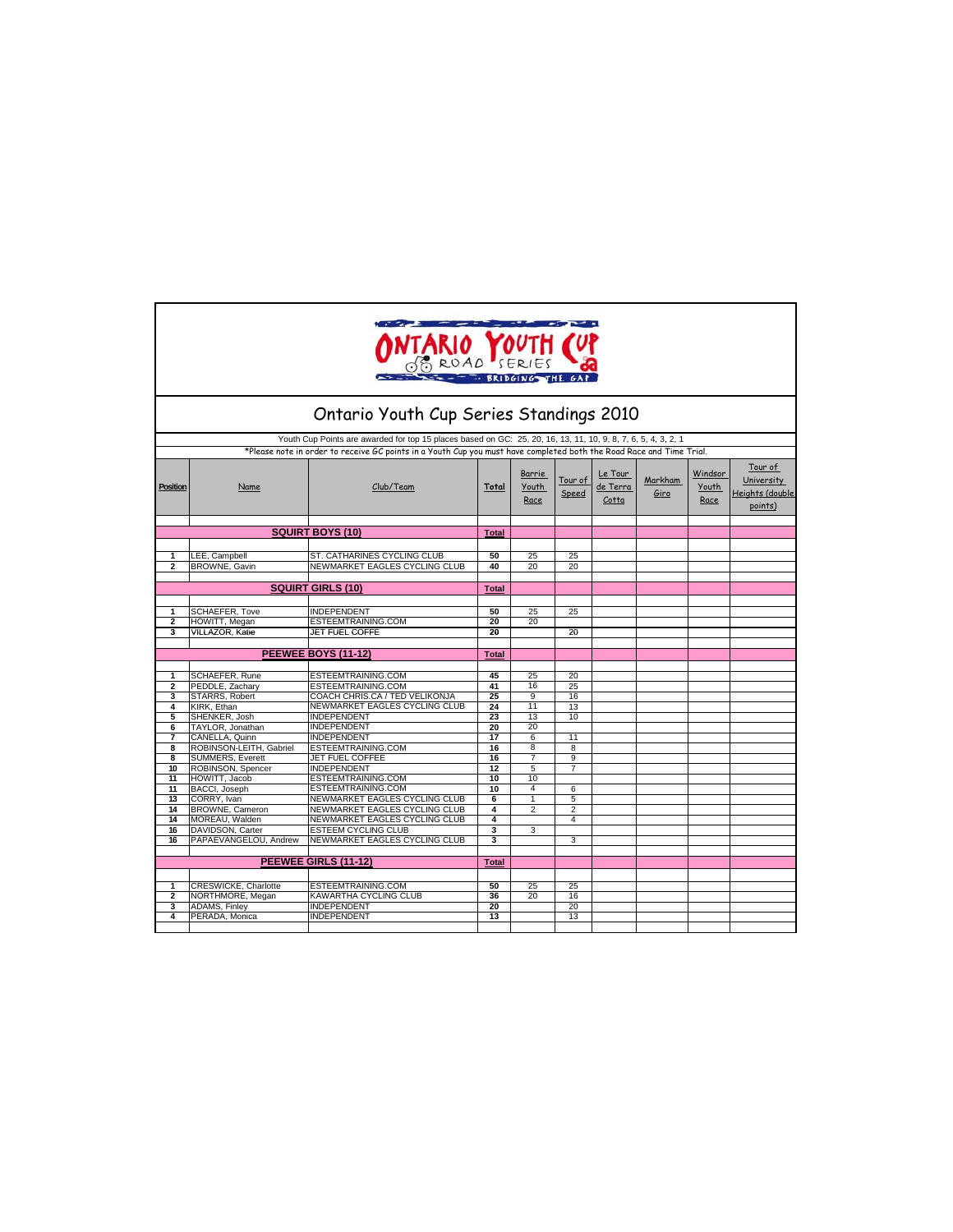| ONTARIO YOUTH (UP<br>- BRIDGING THE GA<br>Ontario Youth Cup Series Standings 2010                                                                                                                                                     |                                   |                                                     |              |                         |                  |                              |                 |                          |                                                     |  |  |
|---------------------------------------------------------------------------------------------------------------------------------------------------------------------------------------------------------------------------------------|-----------------------------------|-----------------------------------------------------|--------------|-------------------------|------------------|------------------------------|-----------------|--------------------------|-----------------------------------------------------|--|--|
|                                                                                                                                                                                                                                       |                                   |                                                     |              |                         |                  |                              |                 |                          |                                                     |  |  |
| Youth Cup Points are awarded for top 15 places based on GC: 25, 20, 16, 13, 11, 10, 9, 8, 7, 6, 5, 4, 3, 2, 1<br>*Please note in order to receive GC points in a Youth Cup you must have completed both the Road Race and Time Trial. |                                   |                                                     |              |                         |                  |                              |                 |                          |                                                     |  |  |
| Position                                                                                                                                                                                                                              | Name                              | Club/Team                                           | Total        | Barrie<br>Youth<br>Race | Tour of<br>Speed | Le Tour<br>de Terra<br>Cotta | Markham<br>Giro | Windsor<br>Youth<br>Race | Tour of<br>University<br>deights (double<br>points) |  |  |
|                                                                                                                                                                                                                                       |                                   | <b>SQUIRT BOYS (10)</b>                             | <b>Total</b> |                         |                  |                              |                 |                          |                                                     |  |  |
|                                                                                                                                                                                                                                       |                                   |                                                     |              |                         |                  |                              |                 |                          |                                                     |  |  |
| 1                                                                                                                                                                                                                                     | LEE, Campbell                     | ST. CATHARINES CYCLING CLUB                         | 50           | 25                      | 25               |                              |                 |                          |                                                     |  |  |
| $\overline{2}$                                                                                                                                                                                                                        | BROWNE, Gavin                     | NEWMARKET EAGLES CYCLING CLUB                       | 40           | 20                      | 20               |                              |                 |                          |                                                     |  |  |
|                                                                                                                                                                                                                                       |                                   |                                                     |              |                         |                  |                              |                 |                          |                                                     |  |  |
|                                                                                                                                                                                                                                       |                                   | <b>SQUIRT GIRLS (10)</b>                            | <b>Total</b> |                         |                  |                              |                 |                          |                                                     |  |  |
|                                                                                                                                                                                                                                       |                                   |                                                     |              |                         |                  |                              |                 |                          |                                                     |  |  |
| 1                                                                                                                                                                                                                                     | SCHAEFER, Tove                    | <b>INDEPENDENT</b>                                  | 50           | 25                      | 25               |                              |                 |                          |                                                     |  |  |
| 2                                                                                                                                                                                                                                     | HOWITT, Megan                     | ESTEEMTRAINING.COM                                  | 20           | 20                      |                  |                              |                 |                          |                                                     |  |  |
| $\overline{\mathbf{3}}$                                                                                                                                                                                                               | <b>VILLAZOR, Katie</b>            | JET FUEL COFFE                                      | 20           |                         | 20               |                              |                 |                          |                                                     |  |  |
|                                                                                                                                                                                                                                       |                                   |                                                     |              |                         |                  |                              |                 |                          |                                                     |  |  |
|                                                                                                                                                                                                                                       |                                   | <b>PEEWEE BOYS (11-12)</b>                          | <b>Total</b> |                         |                  |                              |                 |                          |                                                     |  |  |
|                                                                                                                                                                                                                                       |                                   | ESTEEMTRAINING.COM                                  | 45           |                         |                  |                              |                 |                          |                                                     |  |  |
| 1<br>2                                                                                                                                                                                                                                | SCHAEFER, Rune<br>PEDDLE, Zachary | ESTEEMTRAINING.COM                                  | 41           | 25<br>16                | 20<br>25         |                              |                 |                          |                                                     |  |  |
| 3                                                                                                                                                                                                                                     | STARRS, Robert                    | COACH CHRIS.CA / TED VELIKONJA                      | 25           | 9                       | 16               |                              |                 |                          |                                                     |  |  |
| 4                                                                                                                                                                                                                                     | KIRK, Ethan                       | NEWMARKET EAGLES CYCLING CLUB                       | 24           | 11                      | 13               |                              |                 |                          |                                                     |  |  |
| 5                                                                                                                                                                                                                                     | SHENKER, Josh                     | <b>INDEPENDENT</b>                                  | 23           | 13                      | 10               |                              |                 |                          |                                                     |  |  |
| 6                                                                                                                                                                                                                                     | TAYLOR, Jonathan                  | <b>INDEPENDENT</b>                                  | 20           | 20                      |                  |                              |                 |                          |                                                     |  |  |
| 7                                                                                                                                                                                                                                     | CANELLA, Quinn                    | <b>INDEPENDENT</b>                                  | 17           | 6                       | 11               |                              |                 |                          |                                                     |  |  |
| 8                                                                                                                                                                                                                                     | ROBINSON-LEITH, Gabriel           | ESTEEMTRAINING.COM                                  | 16           | 8                       | 8                |                              |                 |                          |                                                     |  |  |
| 8                                                                                                                                                                                                                                     | <b>SUMMERS, Everett</b>           | JET FUEL COFFEE                                     | 16           | $\overline{7}$          | 9                |                              |                 |                          |                                                     |  |  |
| 10                                                                                                                                                                                                                                    | ROBINSON, Spencer                 | <b>INDEPENDENT</b>                                  | 12           | 5                       | 7                |                              |                 |                          |                                                     |  |  |
| 11                                                                                                                                                                                                                                    | HOWITT, Jacob                     | ESTEEMTRAINING.COM                                  | 10           | 10<br>4                 |                  |                              |                 |                          |                                                     |  |  |
| $\overline{11}$<br>13                                                                                                                                                                                                                 | BACCI, Joseph<br>CORRY, Ivan      | ESTEEMTRAINING.COM<br>NEWMARKET EAGLES CYCLING CLUB | 10<br>6      | 1                       | 6<br>5           |                              |                 |                          |                                                     |  |  |
| 14                                                                                                                                                                                                                                    | BROWNE, Cameron                   | NEWMARKET EAGLES CYCLING CLUB                       | 4            | $\overline{2}$          | $\overline{2}$   |                              |                 |                          |                                                     |  |  |
| 14                                                                                                                                                                                                                                    | MOREAU, Walden                    | NEWMARKET EAGLES CYCLING CLUB                       | 4            |                         | 4                |                              |                 |                          |                                                     |  |  |
| 16                                                                                                                                                                                                                                    | DAVIDSON, Carter                  | <b>ESTEEM CYCLING CLUB</b>                          | 3            | 3                       |                  |                              |                 |                          |                                                     |  |  |
| 16                                                                                                                                                                                                                                    | PAPAEVANGELOU, Andrew             | NEWMARKET EAGLES CYCLING CLUB                       | 3            |                         | 3                |                              |                 |                          |                                                     |  |  |
|                                                                                                                                                                                                                                       |                                   |                                                     |              |                         |                  |                              |                 |                          |                                                     |  |  |
|                                                                                                                                                                                                                                       |                                   | PEEWEE GIRLS (11-12)                                | <b>Total</b> |                         |                  |                              |                 |                          |                                                     |  |  |
|                                                                                                                                                                                                                                       |                                   |                                                     |              |                         |                  |                              |                 |                          |                                                     |  |  |
| 1                                                                                                                                                                                                                                     | CRESWICKE, Charlotte              | ESTEEMTRAINING.COM                                  | 50           | 25                      | 25               |                              |                 |                          |                                                     |  |  |
| $\overline{2}$                                                                                                                                                                                                                        | NORTHMORE, Megan                  | KAWARTHA CYCLING CLUB                               | 36           | 20                      | 16               |                              |                 |                          |                                                     |  |  |
| 3                                                                                                                                                                                                                                     | <b>ADAMS, Finley</b>              | <b>INDEPENDENT</b>                                  | 20           |                         | 20               |                              |                 |                          |                                                     |  |  |
| 4                                                                                                                                                                                                                                     | PERADA, Monica                    | <b>INDEPENDENT</b>                                  | 13           |                         | 13               |                              |                 |                          |                                                     |  |  |
|                                                                                                                                                                                                                                       |                                   |                                                     |              |                         |                  |                              |                 |                          |                                                     |  |  |